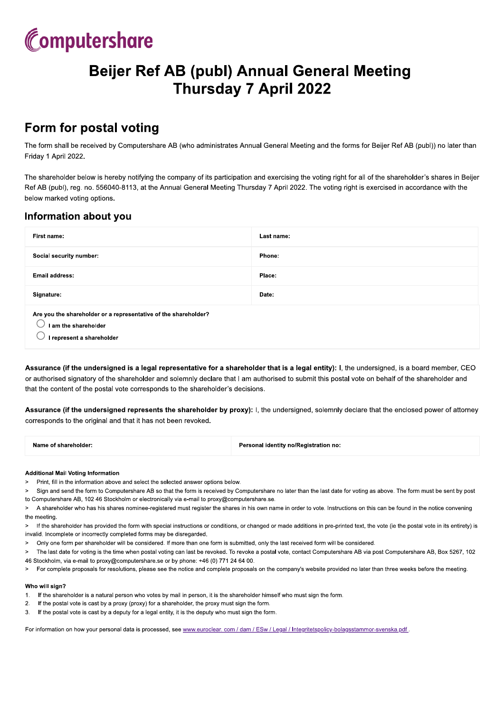

# **Beijer Ref AB (publ) Annual General Meeting Thursday 7 April 2022**

### Form for postal voting

The form shall be received by Computershare AB (who administrates Annual General Meeting and the forms for Beijer Ref AB (publ)) no later than Friday 1 April 2022.

The shareholder below is hereby notifying the company of its participation and exercising the voting right for all of the shareholder's shares in Beijer Ref AB (publ), reg. no. 556040-8113, at the Annual General Meeting Thursday 7 April 2022. The voting right is exercised in accordance with the below marked voting options.

### Information about you

| First name:                                                                                                          | Last name: |  |
|----------------------------------------------------------------------------------------------------------------------|------------|--|
| Social security number:                                                                                              | Phone:     |  |
| Email address:                                                                                                       | Place:     |  |
| Signature:                                                                                                           | Date:      |  |
| Are you the shareholder or a representative of the shareholder?<br>I am the shareholder<br>I represent a shareholder |            |  |

Assurance (if the undersigned is a legal representative for a shareholder that is a legal entity): I, the undersigned, is a board member, CEO or authorised signatory of the shareholder and solemnly declare that I am authorised to submit this postal vote on behalf of the shareholder and that the content of the postal vote corresponds to the shareholder's decisions.

Assurance (if the undersigned represents the shareholder by proxy): I, the undersigned, solemnly declare that the enclosed power of attorney corresponds to the original and that it has not been revoked.

| Name of shareholder: | Personal identity no/Registration no: |
|----------------------|---------------------------------------|
|                      |                                       |

#### **Additional Mail Voting Information**

- Print, fill in the information above and select the selected answer options below.  $\geq$
- $\sim$ Sign and send the form to Computershare AB so that the form is received by Computershare no later than the last date for voting as above. The form must be sent by post to Computershare AB, 102 46 Stockholm or electronically via e-mail to proxy@computershare.se.
- A shareholder who has his shares nominee-registered must register the shares in his own name in order to vote. Instructions on this can be found in the notice convening  $\mathbf{S}$ the meeting
- > If the shareholder has provided the form with special instructions or conditions, or changed or made additions in pre-printed text, the vote (ie the postal vote in its entirety) is invalid. Incomplete or incorrectly completed forms may be disregarded.
- Only one form per shareholder will be considered. If more than one form is submitted, only the last received form will be considered.  $\geq$
- The last date for voting is the time when postal voting can last be revoked. To revoke a postal vote, contact Computershare AB via post Computershare AB, Box 5267, 102 46 Stockholm, via e-mail to proxy@computershare.se or by phone: +46 (0) 771 24 64 00
- For complete proposals for resolutions, please see the notice and complete proposals on the company's website provided no later than three weeks before the meeting.  $\overline{\phantom{0}}$

#### Who will sign?

- $1<sup>1</sup>$ If the shareholder is a natural person who votes by mail in person, it is the shareholder himself who must sign the form.
- $\overline{2}$ If the postal vote is cast by a proxy (proxy) for a shareholder, the proxy must sign the form.
- If the postal vote is cast by a deputy for a legal entity, it is the deputy who must sign the form. 3.

For information on how your personal data is processed, see www.euroclear.com / dam / ESw / Legal / Integritetspolicy-bolagsstammor-svenska.pdf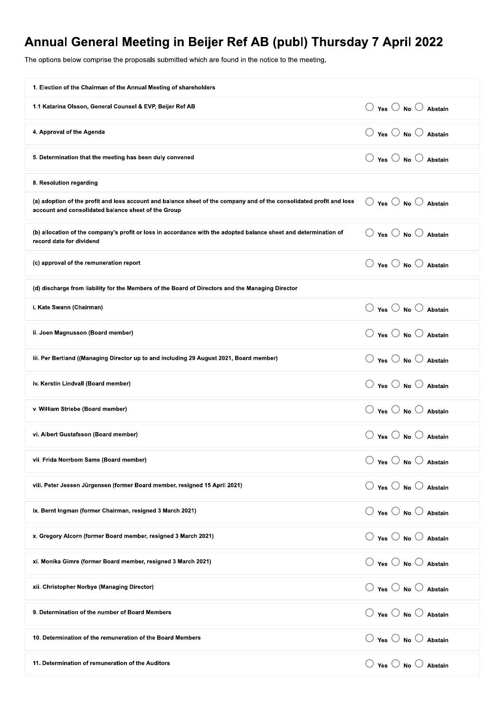## Annual General Meeting in Beijer Ref AB (publ) Thur

| The options below comprise the proposals submitted which are found in the notice to the meeting.                                                                            |                                                 |
|-----------------------------------------------------------------------------------------------------------------------------------------------------------------------------|-------------------------------------------------|
| 1. Election of the Chairman of the Annual Meeting of shareholders                                                                                                           |                                                 |
| 1.1 Katarina Olsson, General Counsel & EVP, Beijer Ref AB                                                                                                                   | $\bigcirc$ Yes $\bigcirc$ No $\bigcirc$ Abstain |
| 4. Approval of the Agenda                                                                                                                                                   | $\bigcirc$ Yes $\bigcirc$ No $\bigcirc$ Abstain |
| 5. Determination that the meeting has been duly convened                                                                                                                    | $\bigcirc$ Yes $\bigcirc$ No $\bigcirc$ Abstain |
| 8. Resolution regarding                                                                                                                                                     |                                                 |
| (a) adoption of the profit and loss account and balance sheet of the company and of the consolidated profit and loss<br>account and consolidated balance sheet of the Group | $\bigcirc$ Yes $\bigcirc$ No $\bigcirc$ Abstain |
| (b) allocation of the company's profit or loss in accordance with the adopted balance sheet and determination of<br>record date for dividend                                | $\bigcirc$ Yes $\bigcirc$ No $\bigcirc$ Abstain |
| (c) approval of the remuneration report                                                                                                                                     | $\bigcirc$ Yes $\bigcirc$ No $\bigcirc$ Abstain |
| (d) discharge from liability for the Members of the Board of Directors and the Managing Director                                                                            |                                                 |
| i. Kate Swann (Chairman)                                                                                                                                                    | $\bigcirc$ Yes $\bigcirc$ No $\bigcirc$ Abstain |
| ii. Joen Magnusson (Board member)                                                                                                                                           | $\bigcirc$ Yes $\bigcirc$ No $\bigcirc$ Abstain |
| iii. Per Bertland ((Managing Director up to and including 29 August 2021, Board member)                                                                                     | $\bigcirc$ Yes $\bigcirc$ No $\bigcirc$ Abstain |
| iv. Kerstin Lindvall (Board member)                                                                                                                                         | $\bigcirc$ Yes $\bigcirc$ No $\bigcirc$ Abstain |
| v. William Striebe (Board member)                                                                                                                                           | $\bigcirc$ Yes $\bigcirc$ No $\bigcirc$ Abstain |
| vi. Albert Gustafsson (Board member)                                                                                                                                        | $\bigcirc$ Yes $\bigcirc$ No $\bigcirc$ Abstain |
| vii. Frida Norrbom Sams (Board member)                                                                                                                                      | $\bigcirc$ Yes $\bigcirc$ No $\bigcirc$ Abstain |
| viii. Peter Jessen Jürgensen (former Board member, resigned 15 April 2021)                                                                                                  | $\bigcirc$ Yes $\bigcirc$ No $\bigcirc$ Abstain |
| ix. Bernt Ingman (former Chairman, resigned 3 March 2021)                                                                                                                   | $\bigcirc$ Yes $\bigcirc$ No $\bigcirc$ Abstain |
| x. Gregory Alcorn (former Board member, resigned 3 March 2021)                                                                                                              | $\bigcirc$ Yes $\bigcirc$ No $\bigcirc$ Abstain |
| xi. Monika Gimre (former Board member, resigned 3 March 2021)                                                                                                               | $\bigcirc$ Yes $\bigcirc$ No $\bigcirc$ Abstain |
| xii. Christopher Norbye (Managing Director)                                                                                                                                 | $\bigcirc$ Yes $\bigcirc$ No $\bigcirc$ Abstain |
| 9. Determination of the number of Board Members                                                                                                                             | $\bigcirc$ Yes $\bigcirc$ No $\bigcirc$ Abstain |